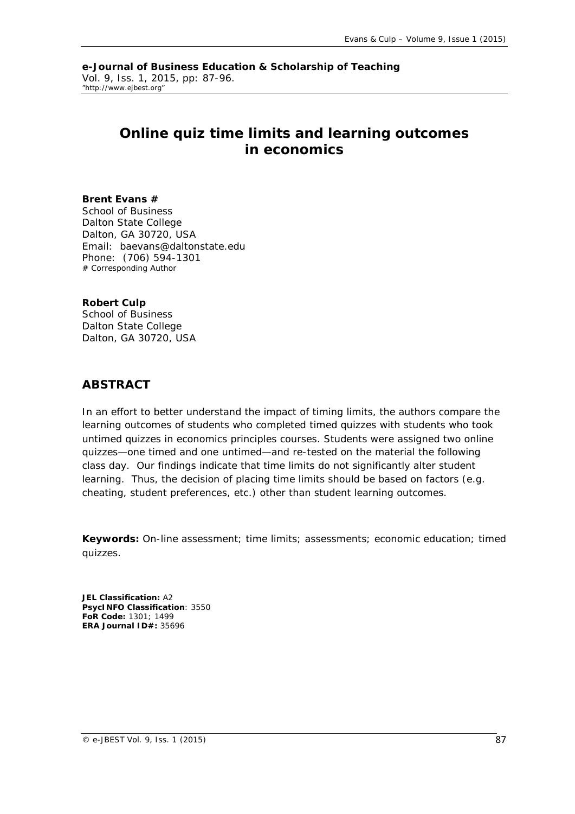**e-Journal of Business Education & Scholarship of Teaching** Vol. 9, Iss. 1, 2015, pp: 87-96. "http://www.ejbest.org"

# **Online quiz time limits and learning outcomes in economics**

### **Brent Evans #**

School of Business Dalton State College Dalton, GA 30720, USA Email: baevans@daltonstate.edu Phone: (706) 594-1301 # Corresponding Author

### **Robert Culp**

School of Business Dalton State College Dalton, GA 30720, USA

## **ABSTRACT**

In an effort to better understand the impact of timing limits, the authors compare the *learning outcomes of students who completed timed quizzes with students who took untimed quizzes in economics principles courses. Students were assigned two online quizzes—one timed and one untimed—and re-tested on the material the following class day. Our findings indicate that time limits do not significantly alter student learning. Thus, the decision of placing time limits should be based on factors (e.g. cheating, student preferences, etc.) other than student learning outcomes.* 

**Keywords:** On-line assessment; time limits; assessments; economic education; timed quizzes.

**JEL Classification:** A2 **PsycINFO Classification**: 3550 **FoR Code:** 1301; 1499 **ERA Journal ID#:** 35696

© e-JBEST Vol. 9, Iss. 1 (2015) 87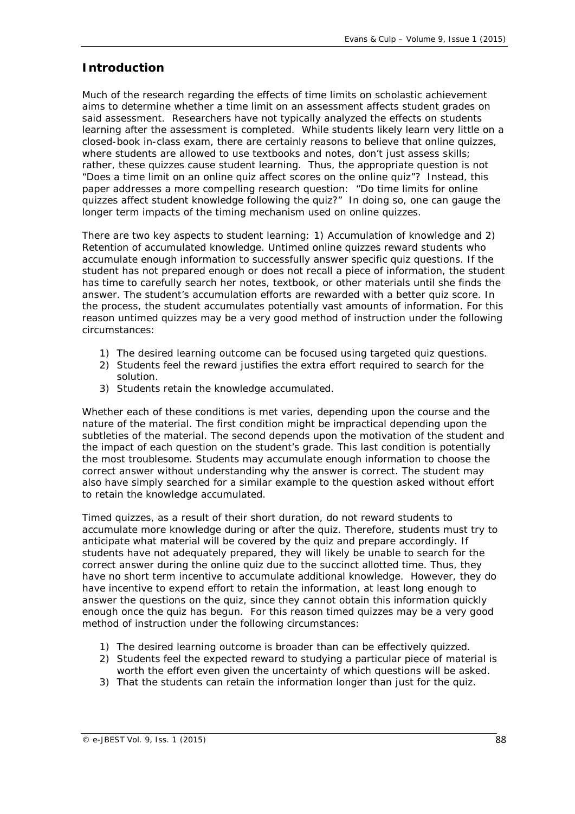# **Introduction**

Much of the research regarding the effects of time limits on scholastic achievement aims to determine whether a time limit on an assessment affects student grades on said assessment. Researchers have not typically analyzed the effects on students learning *after* the assessment is completed. While students likely learn very little on a closed-book in-class exam, there are certainly reasons to believe that online quizzes, where students are allowed to use textbooks and notes, don't just assess skills; rather, these quizzes *cause* student learning. Thus, the appropriate question is not "Does a time limit on an online quiz affect scores on the online quiz"? Instead, this paper addresses a more compelling research question: "Do time limits for online quizzes affect student knowledge following the quiz?" In doing so, one can gauge the longer term impacts of the timing mechanism used on online quizzes.

There are two key aspects to student learning: 1) Accumulation of knowledge and 2) Retention of accumulated knowledge. Untimed online quizzes reward students who accumulate enough information to successfully answer specific quiz questions. If the student has not prepared enough or does not recall a piece of information, the student has time to carefully search her notes, textbook, or other materials until she finds the answer. The student's accumulation efforts are rewarded with a better quiz score. In the process, the student accumulates potentially vast amounts of information. For this reason untimed quizzes may be a very good method of instruction under the following circumstances:

- 1) The desired learning outcome can be focused using targeted quiz questions.
- 2) Students feel the reward justifies the extra effort required to search for the solution.
- 3) Students retain the knowledge accumulated.

Whether each of these conditions is met varies, depending upon the course and the nature of the material. The first condition might be impractical depending upon the subtleties of the material. The second depends upon the motivation of the student and the impact of each question on the student's grade. This last condition is potentially the most troublesome. Students may accumulate enough information to choose the correct answer without understanding why the answer is correct. The student may also have simply searched for a similar example to the question asked without effort to retain the knowledge accumulated.

Timed quizzes, as a result of their short duration, do not reward students to accumulate more knowledge during or after the quiz. Therefore, students must try to anticipate what material will be covered by the quiz and prepare accordingly. If students have not adequately prepared, they will likely be unable to search for the correct answer *during* the online quiz due to the succinct allotted time. Thus, they have no short term incentive to accumulate additional knowledge. However, they do have incentive to expend effort to retain the information, at least long enough to answer the questions on the quiz, since they cannot obtain this information quickly enough once the quiz has begun. For this reason timed quizzes may be a very good method of instruction under the following circumstances:

- 1) The desired learning outcome is broader than can be effectively quizzed.
- 2) Students feel the expected reward to studying a particular piece of material is worth the effort even given the uncertainty of which questions will be asked.
- 3) That the students can retain the information longer than just for the quiz.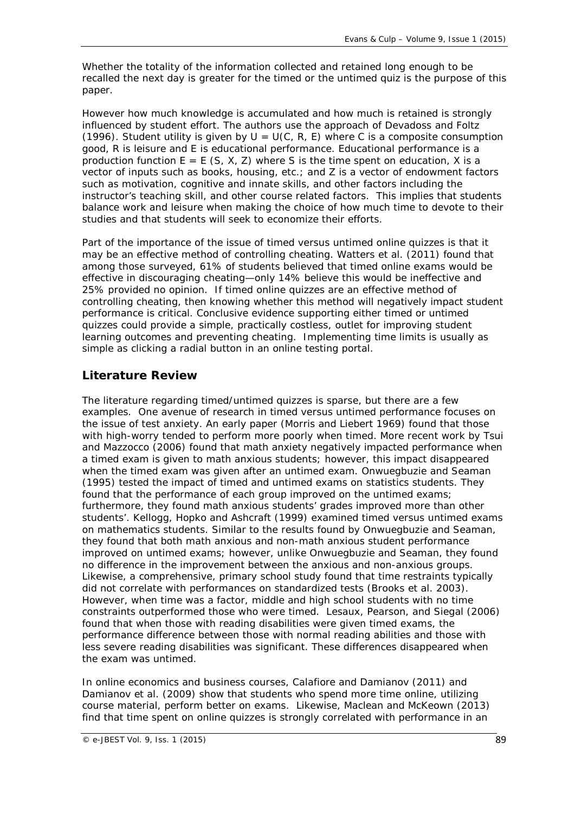Whether the totality of the information collected and retained long enough to be recalled the next day is greater for the timed or the untimed quiz is the purpose of this paper.

However how much knowledge is accumulated and how much is retained is strongly influenced by student effort. The authors use the approach of Devadoss and Foltz (1996). Student utility is given by  $U = U(C, R, E)$  where C is a composite consumption good, R is leisure and E is educational performance. Educational performance is a production function  $E = E(S, X, Z)$  where S is the time spent on education, X is a vector of inputs such as books, housing, etc.; and Z is a vector of endowment factors such as motivation, cognitive and innate skills, and other factors including the instructor's teaching skill, and other course related factors. This implies that students balance work and leisure when making the choice of how much time to devote to their studies and that students will seek to economize their efforts.

Part of the importance of the issue of timed versus untimed online quizzes is that it may be an effective method of controlling cheating. Watters et al. (2011) found that among those surveyed, 61% of students believed that timed online exams would be effective in discouraging cheating—only 14% believe this would be ineffective and 25% provided no opinion. If timed online quizzes are an effective method of controlling cheating, then knowing whether this method will negatively impact student performance is critical. Conclusive evidence supporting either timed or untimed quizzes could provide a simple, practically costless, outlet for improving student learning outcomes and preventing cheating. Implementing time limits is usually as simple as clicking a radial button in an online testing portal.

# **Literature Review**

The literature regarding timed/untimed quizzes is sparse, but there are a few examples. One avenue of research in timed versus untimed performance focuses on the issue of test anxiety. An early paper (Morris and Liebert 1969) found that those with high-worry tended to perform more poorly when timed. More recent work by Tsui and Mazzocco (2006) found that math anxiety negatively impacted performance when a timed exam is given to math anxious students; however, this impact disappeared when the timed exam was given after an untimed exam. Onwuegbuzie and Seaman (1995) tested the impact of timed and untimed exams on statistics students. They found that the performance of each group improved on the untimed exams; furthermore, they found math anxious students' grades improved more than other students'. Kellogg, Hopko and Ashcraft (1999) examined timed versus untimed exams on mathematics students. Similar to the results found by Onwuegbuzie and Seaman, they found that both math anxious and non-math anxious student performance improved on untimed exams; however, unlike Onwuegbuzie and Seaman, they found no difference in the improvement between the anxious and non-anxious groups. Likewise, a comprehensive, primary school study found that time restraints typically did not correlate with performances on standardized tests (Brooks et al. 2003). However, when time was a factor, middle and high school students with no time constraints outperformed those who were timed. Lesaux, Pearson, and Siegal (2006) found that when those with reading disabilities were given timed exams, the performance difference between those with normal reading abilities and those with less severe reading disabilities was significant. These differences disappeared when the exam was untimed.

In online economics and business courses, Calafiore and Damianov (2011) and Damianov et al. (2009) show that students who spend more time online, utilizing course material, perform better on exams. Likewise, Maclean and McKeown (2013) find that time spent on online quizzes is strongly correlated with performance in an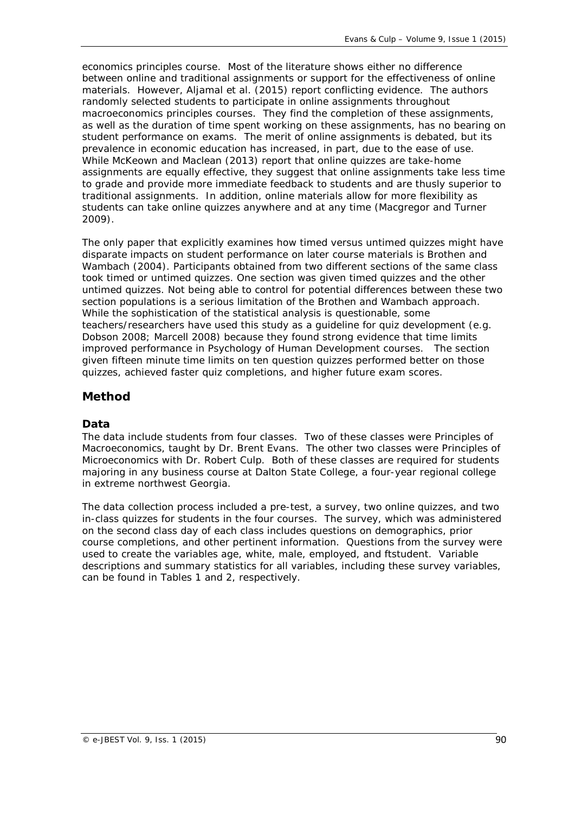economics principles course. Most of the literature shows either no difference between online and traditional assignments or support for the effectiveness of online materials. However, Aljamal et al. (2015) report conflicting evidence. The authors randomly selected students to participate in online assignments throughout macroeconomics principles courses. They find the completion of these assignments, as well as the duration of time spent working on these assignments, has no bearing on student performance on exams. The merit of online assignments is debated, but its prevalence in economic education has increased, in part, due to the ease of use. While McKeown and Maclean (2013) report that online quizzes are take-home assignments are equally effective, they suggest that online assignments take less time to grade and provide more immediate feedback to students and are thusly superior to traditional assignments. In addition, online materials allow for more flexibility as students can take online quizzes anywhere and at any time (Macgregor and Turner 2009).

The only paper that explicitly examines how timed versus untimed quizzes might have disparate impacts on student performance on later course materials is Brothen and Wambach (2004). Participants obtained from two different sections of the same class took timed or untimed quizzes. One section was given timed quizzes and the other untimed quizzes. Not being able to control for potential differences between these two section populations is a serious limitation of the Brothen and Wambach approach. While the sophistication of the statistical analysis is questionable, some teachers/researchers have used this study as a guideline for quiz development (e.g. Dobson 2008; Marcell 2008) because they found strong evidence that time limits improved performance in Psychology of Human Development courses. The section given fifteen minute time limits on ten question quizzes performed better on those quizzes, achieved faster quiz completions, and higher future exam scores.

# **Method**

### *Data*

The data include students from four classes. Two of these classes were Principles of Macroeconomics, taught by Dr. Brent Evans. The other two classes were Principles of Microeconomics with Dr. Robert Culp. Both of these classes are required for students majoring in any business course at Dalton State College, a four-year regional college in extreme northwest Georgia.

The data collection process included a pre-test, a survey, two online quizzes, and two in-class quizzes for students in the four courses. The survey, which was administered on the second class day of each class includes questions on demographics, prior course completions, and other pertinent information. Questions from the survey were used to create the variables *age, white, male, employed,* and *ftstudent*. Variable descriptions and summary statistics for all variables, including these survey variables, can be found in Tables 1 and 2, respectively.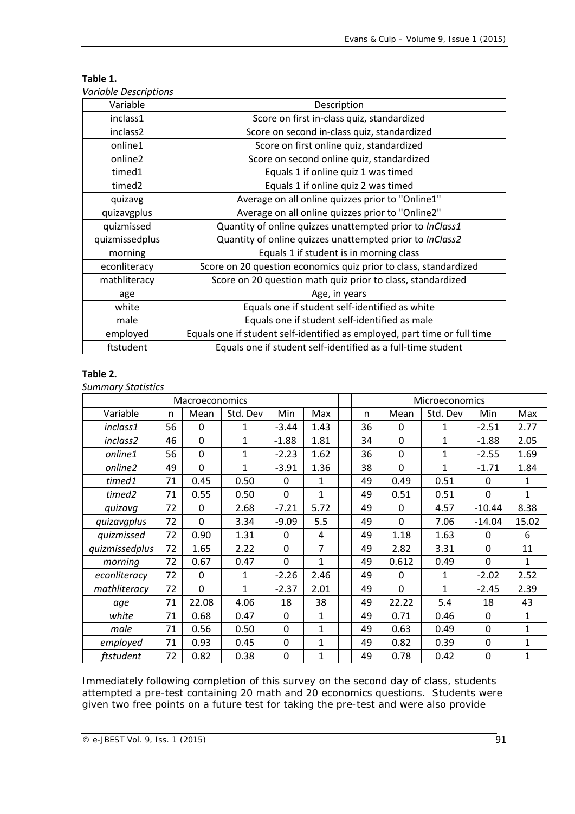| Variable       | Description                                                               |  |  |  |  |
|----------------|---------------------------------------------------------------------------|--|--|--|--|
| inclass1       | Score on first in-class quiz, standardized                                |  |  |  |  |
| inclass2       | Score on second in-class quiz, standardized                               |  |  |  |  |
| online1        | Score on first online quiz, standardized                                  |  |  |  |  |
| online2        | Score on second online quiz, standardized                                 |  |  |  |  |
| timed1         | Equals 1 if online quiz 1 was timed                                       |  |  |  |  |
| timed2         | Equals 1 if online quiz 2 was timed                                       |  |  |  |  |
| quizavg        | Average on all online quizzes prior to "Online1"                          |  |  |  |  |
| quizavgplus    | Average on all online quizzes prior to "Online2"                          |  |  |  |  |
| quizmissed     | Quantity of online quizzes unattempted prior to InClass1                  |  |  |  |  |
| quizmissedplus | Quantity of online quizzes unattempted prior to InClass2                  |  |  |  |  |
| morning        | Equals 1 if student is in morning class                                   |  |  |  |  |
| econliteracy   | Score on 20 question economics quiz prior to class, standardized          |  |  |  |  |
| mathliteracy   | Score on 20 question math quiz prior to class, standardized               |  |  |  |  |
| age            | Age, in years                                                             |  |  |  |  |
| white          | Equals one if student self-identified as white                            |  |  |  |  |
| male           | Equals one if student self-identified as male                             |  |  |  |  |
| employed       | Equals one if student self-identified as employed, part time or full time |  |  |  |  |
| ftstudent      | Equals one if student self-identified as a full-time student              |  |  |  |  |

#### **Table 1.** *Variable Descriptions*

### **Table 2.**

*Summary Statistics*

| Macroeconomics |    |             |              |                |              |    |             | Microeconomics |             |              |
|----------------|----|-------------|--------------|----------------|--------------|----|-------------|----------------|-------------|--------------|
| Variable       | n  | Mean        | Std. Dev     | Min            | Max          | n  | Mean        | Std. Dev       | Min         | Max          |
| inclass1       | 56 | $\Omega$    | 1            | $-3.44$        | 1.43         | 36 | $\Omega$    | 1              | $-2.51$     | 2.77         |
| inclass2       | 46 | $\mathbf 0$ | $\mathbf{1}$ | $-1.88$        | 1.81         | 34 | 0           | 1              | $-1.88$     | 2.05         |
| online1        | 56 | $\Omega$    | $\mathbf{1}$ | $-2.23$        | 1.62         | 36 | $\mathbf 0$ | 1              | $-2.55$     | 1.69         |
| online2        | 49 | $\mathbf 0$ | $\mathbf{1}$ | $-3.91$        | 1.36         | 38 | $\mathbf 0$ | 1              | $-1.71$     | 1.84         |
| timed1         | 71 | 0.45        | 0.50         | $\Omega$       | 1            | 49 | 0.49        | 0.51           | $\Omega$    | 1            |
| timed2         | 71 | 0.55        | 0.50         | $\mathbf 0$    | $\mathbf{1}$ | 49 | 0.51        | 0.51           | $\mathbf 0$ | $\mathbf{1}$ |
| quizavq        | 72 | $\Omega$    | 2.68         | $-7.21$        | 5.72         | 49 | 0           | 4.57           | $-10.44$    | 8.38         |
| quizavgplus    | 72 | $\Omega$    | 3.34         | $-9.09$        | 5.5          | 49 | 0           | 7.06           | $-14.04$    | 15.02        |
| quizmissed     | 72 | 0.90        | 1.31         | $\mathbf 0$    | 4            | 49 | 1.18        | 1.63           | $\mathbf 0$ | 6            |
| quizmissedplus | 72 | 1.65        | 2.22         | $\Omega$       | 7            | 49 | 2.82        | 3.31           | $\Omega$    | 11           |
| morning        | 72 | 0.67        | 0.47         | $\Omega$       | 1            | 49 | 0.612       | 0.49           | $\Omega$    | 1            |
| econliteracy   | 72 | $\Omega$    | 1            | $-2.26$        | 2.46         | 49 | 0           | 1              | $-2.02$     | 2.52         |
| mathliteracy   | 72 | $\mathbf 0$ | $\mathbf{1}$ | $-2.37$        | 2.01         | 49 | 0           | 1              | $-2.45$     | 2.39         |
| age            | 71 | 22.08       | 4.06         | 18             | 38           | 49 | 22.22       | 5.4            | 18          | 43           |
| white          | 71 | 0.68        | 0.47         | $\Omega$       | 1            | 49 | 0.71        | 0.46           | $\Omega$    | $\mathbf{1}$ |
| male           | 71 | 0.56        | 0.50         | $\overline{0}$ | $\mathbf{1}$ | 49 | 0.63        | 0.49           | $\mathbf 0$ | $\mathbf{1}$ |
| employed       | 71 | 0.93        | 0.45         | $\Omega$       | $\mathbf{1}$ | 49 | 0.82        | 0.39           | $\Omega$    | 1            |
| ftstudent      | 72 | 0.82        | 0.38         | $\Omega$       | $\mathbf{1}$ | 49 | 0.78        | 0.42           | 0           | 1            |

Immediately following completion of this survey on the second day of class, students attempted a pre-test containing 20 math and 20 economics questions. Students were given two free points on a future test for taking the pre-test and were also provide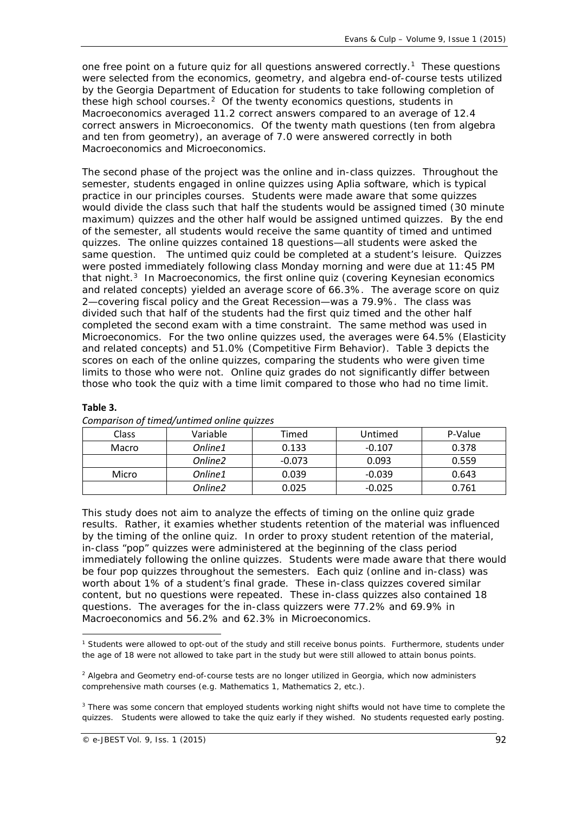one free point on a future quiz for all questions answered correctly.<sup>1</sup> These questions were selected from the economics, geometry, and algebra end-of-course tests utilized by the Georgia Department of Education for students to take following completion of these high school courses.<sup>2</sup> Of the twenty economics questions, students in Macroeconomics averaged 11.2 correct answers compared to an average of 12.4 correct answers in Microeconomics. Of the twenty math questions (ten from algebra and ten from geometry), an average of 7.0 were answered correctly in both Macroeconomics and Microeconomics.

The second phase of the project was the online and in-class quizzes. Throughout the semester, students engaged in online quizzes using Aplia software, which is typical practice in our principles courses. Students were made aware that some quizzes would divide the class such that half the students would be assigned timed (30 minute maximum) quizzes and the other half would be assigned untimed quizzes. By the end of the semester, all students would receive the same quantity of timed and untimed quizzes. The online quizzes contained 18 questions—all students were asked the same question. The untimed quiz could be completed at a student's leisure. Quizzes were posted immediately following class Monday morning and were due at 11:45 PM that night. $3$  In Macroeconomics, the first online quiz (covering Keynesian economics and related concepts) yielded an average score of 66.3%. The average score on quiz 2—covering fiscal policy and the Great Recession—was a 79.9%. The class was divided such that half of the students had the first quiz timed and the other half completed the second exam with a time constraint. The same method was used in Microeconomics. For the two online quizzes used, the averages were 64.5% (Elasticity and related concepts) and 51.0% (Competitive Firm Behavior). Table 3 depicts the scores on each of the online quizzes, comparing the students who were given time limits to those who were not. Online quiz grades do not significantly differ between those who took the quiz with a time limit compared to those who had no time limit.

| <b>Class</b> | Variable            | Timed    | Untimed  | P-Value |
|--------------|---------------------|----------|----------|---------|
| Macro        | Online1             | 0.133    | $-0.107$ | 0.378   |
|              | Online <sub>2</sub> | $-0.073$ | 0.093    | 0.559   |
| Micro        | Online1             | 0.039    | $-0.039$ | 0.643   |
|              | Online <sub>2</sub> | 0.025    | $-0.025$ | 0.761   |

### **Table 3.**

This study does not aim to analyze the effects of timing on the online quiz grade results. Rather, it examies whether students retention of the material was influenced by the timing of the online quiz. In order to proxy student retention of the material, in-class "pop" quizzes were administered at the beginning of the class period immediately following the online quizzes. Students were made aware that there would be four pop quizzes throughout the semesters. Each quiz (online and in-class) was worth about 1% of a student's final grade. These in-class quizzes covered similar content, but no questions were repeated. These in-class quizzes also contained 18 questions. The averages for the in-class quizzers were 77.2% and 69.9% in Macroeconomics and 56.2% and 62.3% in Microeconomics.

<span id="page-5-0"></span>**<sup>.</sup>** <sup>1</sup> Students were allowed to opt-out of the study and still receive bonus points. Furthermore, students under the age of 18 were not allowed to take part in the study but were still allowed to attain bonus points.

<span id="page-5-1"></span> $<sup>2</sup>$  Algebra and Geometry end-of-course tests are no longer utilized in Georgia, which now administers</sup> comprehensive math courses (e.g. Mathematics 1, Mathematics 2, etc.).

<span id="page-5-2"></span><sup>&</sup>lt;sup>3</sup> There was some concern that employed students working night shifts would not have time to complete the quizzes. Students were allowed to take the quiz early if they wished. No students requested early posting.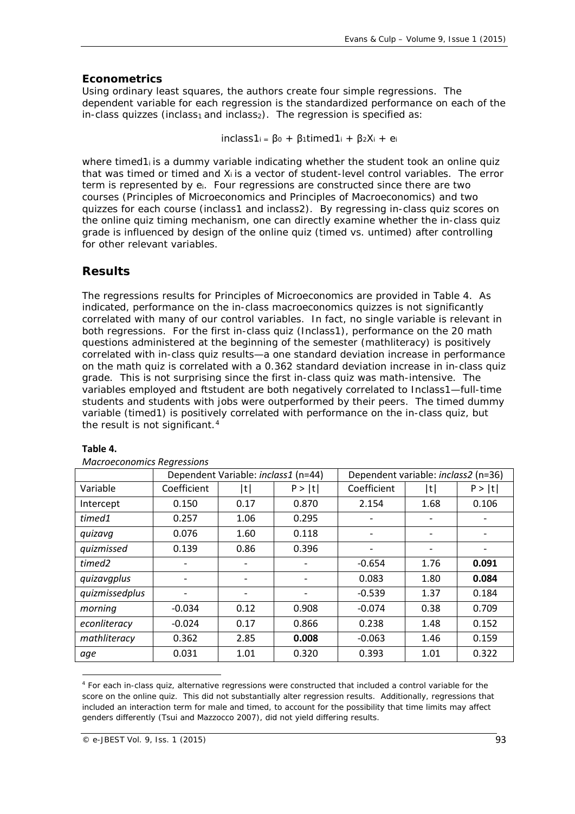# *Econometrics*

Using ordinary least squares, the authors create four simple regressions. The dependent variable for each regression is the standardized performance on each of the in-class quizzes *(inclass<sub>1</sub>* and *inclass<sub>2</sub>*). The regression is specified as:

 $inclass 1_i = \beta_0 + \beta_1$ *timed* $1_i + \beta_2 X_i + \beta_i$ 

where *timed1<sub>i</sub>* is a dummy variable indicating whether the student took an online quiz that was timed or timed and *Xi* is a vector of student-level control variables. The error term is represented by *ei.* Four regressions are constructed since there are two courses (Principles of Microeconomics and Principles of Macroeconomics) and two quizzes for each course (*inclass1* and *inclass2*). By regressing in-class quiz scores on the online quiz timing mechanism, one can directly examine whether the in-class quiz grade is influenced by design of the online quiz (timed vs. untimed) after controlling for other relevant variables.

# **Results**

The regressions results for Principles of Microeconomics are provided in Table 4. As indicated, performance on the in-class macroeconomics quizzes is not significantly correlated with many of our control variables. In fact, no single variable is relevant in both regressions. For the first in-class quiz (Inclass1), performance on the 20 math questions administered at the beginning of the semester (mathliteracy) is positively correlated with in-class quiz results—a one standard deviation increase in performance on the math quiz is correlated with a 0.362 standard deviation increase in in-class quiz grade. This is not surprising since the first in-class quiz was math-intensive. The variables *employed* and *ftstudent* are both negatively correlated to *Inclass1—*full-time students and students with jobs were outperformed by their peers. The timed dummy variable (timed1) is positively correlated with performance on the in-class quiz, but the result is not significant.<sup>[4](#page-6-0)</sup>

|                |             | Dependent Variable: inclass1 (n=44) |        | Dependent variable: <i>inclass2</i> (n=36) |      |        |
|----------------|-------------|-------------------------------------|--------|--------------------------------------------|------|--------|
| Variable       | Coefficient | t                                   | P >  t | Coefficient                                | t    | P >  t |
| Intercept      | 0.150       | 0.17                                | 0.870  | 2.154                                      | 1.68 | 0.106  |
| timed1         | 0.257       | 1.06                                | 0.295  |                                            |      |        |
| quizavq        | 0.076       | 1.60                                | 0.118  |                                            |      |        |
| quizmissed     | 0.139       | 0.86                                | 0.396  |                                            |      |        |
| timed2         |             |                                     |        | $-0.654$                                   | 1.76 | 0.091  |
| quizavgplus    |             |                                     |        | 0.083                                      | 1.80 | 0.084  |
| quizmissedplus |             |                                     |        | $-0.539$                                   | 1.37 | 0.184  |
| morning        | $-0.034$    | 0.12                                | 0.908  | $-0.074$                                   | 0.38 | 0.709  |
| econliteracy   | $-0.024$    | 0.17                                | 0.866  | 0.238                                      | 1.48 | 0.152  |
| mathliteracy   | 0.362       | 2.85                                | 0.008  | $-0.063$                                   | 1.46 | 0.159  |
| age            | 0.031       | 1.01                                | 0.320  | 0.393                                      | 1.01 | 0.322  |

## **Table 4.**

**.** 

*Macroeconomics Regressions*

<span id="page-6-0"></span><sup>4</sup> For each in-class quiz, alternative regressions were constructed that included a control variable for the score on the online quiz. This did not substantially alter regression results. Additionally, regressions that included an interaction term for *male* and *timed*, to account for the possibility that time limits may affect genders differently (Tsui and Mazzocco 2007), did not yield differing results.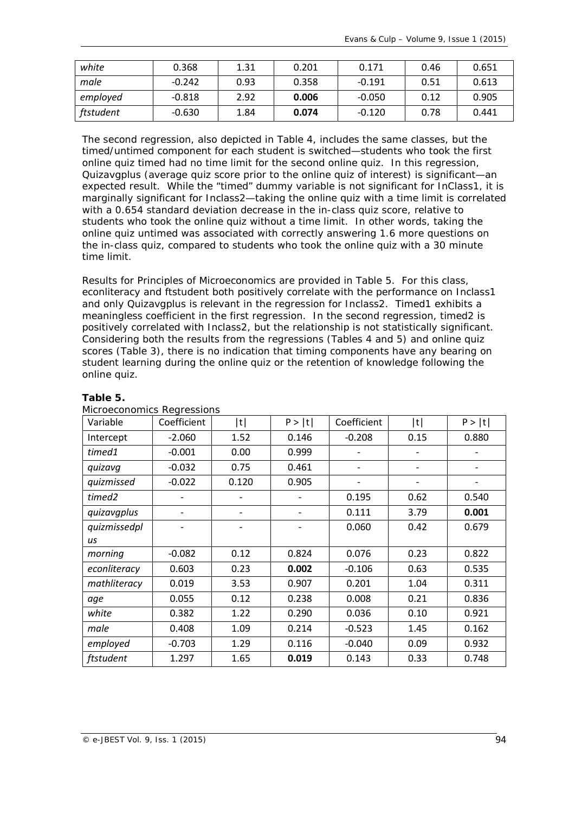| white     | 0.368    | 1.31 | 0.201 | 0.171    | 0.46 | 0.651 |
|-----------|----------|------|-------|----------|------|-------|
| male      | $-0.242$ | 0.93 | 0.358 | $-0.191$ | 0.51 | 0.613 |
| employed  | $-0.818$ | 2.92 | 0.006 | $-0.050$ | 0.12 | 0.905 |
| ftstudent | $-0.630$ | 1.84 | 0.074 | $-0.120$ | 0.78 | 0.441 |

The second regression, also depicted in Table 4, includes the same classes, but the timed/untimed component for each student is switched—students who took the first online quiz timed had no time limit for the second online quiz. In this regression, *Quizavgplus* (average quiz score prior to the online quiz of interest) is significant—an expected result. While the "timed" dummy variable is not significant for *InClass1*, it is marginally significant for *Inclass2*—taking the online quiz with a time limit is correlated with a 0.654 standard deviation decrease in the in-class quiz score, relative to students who took the online quiz without a time limit. In other words, taking the online quiz untimed was associated with correctly answering 1.6 more questions on the in-class quiz, compared to students who took the online quiz with a 30 minute time limit.

Results for Principles of Microeconomics are provided in Table 5. For this class, *econliteracy* and *ftstudent* both positively correlate with the performance on *Inclass1* and only *Quizavgplus* is relevant in the regression for *Inclass2*. *Timed1* exhibits a meaningless coefficient in the first regression. In the second regression, *timed2* is positively correlated with *Inclass2*, but the relationship is not statistically significant. Considering both the results from the regressions (Tables 4 and 5) and online quiz scores (Table 3), there is no indication that timing components have any bearing on student learning during the online quiz or the retention of knowledge following the online quiz.

| Variable     | Coefficient | t     | P >  t                   | Coefficient | t    | P >  t |
|--------------|-------------|-------|--------------------------|-------------|------|--------|
| Intercept    | $-2.060$    | 1.52  | 0.146                    | $-0.208$    | 0.15 | 0.880  |
| timed1       | $-0.001$    | 0.00  | 0.999                    |             |      |        |
| quizavq      | $-0.032$    | 0.75  | 0.461                    |             |      |        |
| quizmissed   | $-0.022$    | 0.120 | 0.905                    |             |      |        |
| timed2       |             |       | $\overline{\phantom{0}}$ | 0.195       | 0.62 | 0.540  |
| quizavgplus  |             |       |                          | 0.111       | 3.79 | 0.001  |
| quizmissedpl |             |       |                          | 0.060       | 0.42 | 0.679  |
| us           |             |       |                          |             |      |        |
| morning      | $-0.082$    | 0.12  | 0.824                    | 0.076       | 0.23 | 0.822  |
| econliteracy | 0.603       | 0.23  | 0.002                    | $-0.106$    | 0.63 | 0.535  |
| mathliteracy | 0.019       | 3.53  | 0.907                    | 0.201       | 1.04 | 0.311  |
| age          | 0.055       | 0.12  | 0.238                    | 0.008       | 0.21 | 0.836  |
| white        | 0.382       | 1.22  | 0.290                    | 0.036       | 0.10 | 0.921  |
| male         | 0.408       | 1.09  | 0.214                    | $-0.523$    | 1.45 | 0.162  |
| employed     | $-0.703$    | 1.29  | 0.116                    | $-0.040$    | 0.09 | 0.932  |
| ftstudent    | 1.297       | 1.65  | 0.019                    | 0.143       | 0.33 | 0.748  |

# **Table 5.**

| Microeconomics Regressions |  |
|----------------------------|--|
|                            |  |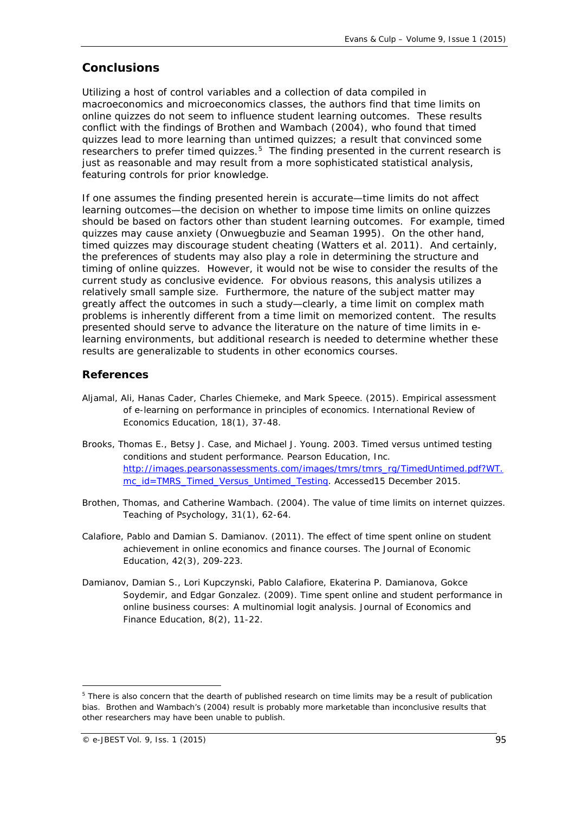# **Conclusions**

Utilizing a host of control variables and a collection of data compiled in macroeconomics and microeconomics classes, the authors find that time limits on online quizzes do not seem to influence student learning outcomes. These results conflict with the findings of Brothen and Wambach (2004), who found that timed quizzes lead to more learning than untimed quizzes; a result that convinced some researchers to prefer timed quizzes.<sup>5</sup> The finding presented in the current research is just as reasonable and may result from a more sophisticated statistical analysis, featuring controls for prior knowledge.

If one assumes the finding presented herein is accurate—time limits do not affect learning outcomes—the decision on whether to impose time limits on online quizzes should be based on factors other than student learning outcomes. For example, timed quizzes may cause anxiety (Onwuegbuzie and Seaman 1995). On the other hand, timed quizzes may discourage student cheating (Watters et al. 2011). And certainly, the preferences of students may also play a role in determining the structure and timing of online quizzes. However, it would not be wise to consider the results of the current study as conclusive evidence. For obvious reasons, this analysis utilizes a relatively small sample size. Furthermore, the nature of the subject matter may greatly affect the outcomes in such a study—clearly, a time limit on complex math problems is inherently different from a time limit on memorized content. The results presented should serve to advance the literature on the nature of time limits in elearning environments, but additional research is needed to determine whether these results are generalizable to students in other economics courses.

## **References**

- Aljamal, Ali, Hanas Cader, Charles Chiemeke, and Mark Speece. (2015). Empirical assessment of e-learning on performance in principles of economics. *International Review of Economics Education*, 18(1), 37-48.
- Brooks, Thomas E., Betsy J. Case, and Michael J. Young. 2003. Timed versus untimed testing conditions and student performance. Pearson Education, Inc. [http://images.pearsonassessments.com/images/tmrs/tmrs\\_rg/TimedUntimed.pdf?WT.](http://images.pearsonassessments.com/images/tmrs/tmrs_rg/TimedUntimed.pdf?WT.mc_id=TMRS_Timed_Versus_Untimed_Testing) [mc\\_id=TMRS\\_Timed\\_Versus\\_Untimed\\_Testing.](http://images.pearsonassessments.com/images/tmrs/tmrs_rg/TimedUntimed.pdf?WT.mc_id=TMRS_Timed_Versus_Untimed_Testing) Accessed15 December 2015.
- Brothen, Thomas, and Catherine Wambach. (2004). The value of time limits on internet quizzes. *Teaching of Psychology,* 31(1), 62-64.
- Calafiore, Pablo and Damian S. Damianov. (2011). The effect of time spent online on student achievement in online economics and finance courses. *The Journal of Economic Education,* 42(3), 209-223.
- Damianov, Damian S., Lori Kupczynski, Pablo Calafiore, Ekaterina P. Damianova, Gokce Soydemir, and Edgar Gonzalez. (2009). Time spent online and student performance in online business courses: A multinomial logit analysis. *Journal of Economics and Finance Education,* 8(2), 11-22.

**.** 

<span id="page-8-0"></span><sup>5</sup> There is also concern that the dearth of published research on time limits may be a result of publication bias. Brothen and Wambach's (2004) result is probably more marketable than inconclusive results that other researchers may have been unable to publish.

<sup>©</sup> e-JBEST Vol. 9, Iss. 1 (2015) 95